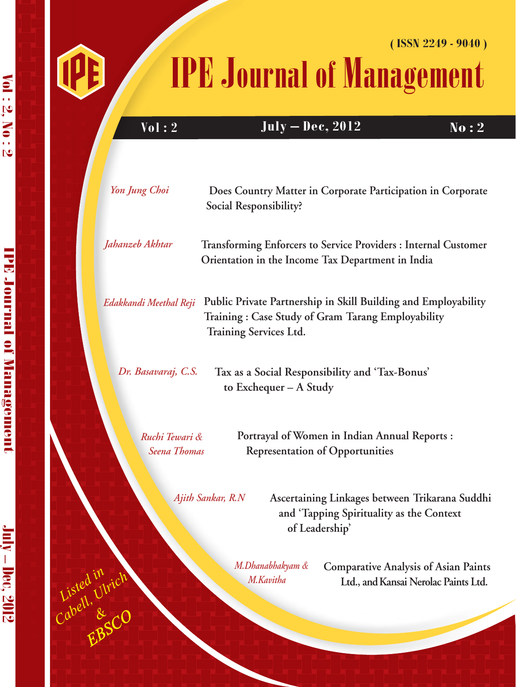



*EBSCO*

*Listed in Cabell, Ulrich &*

吧

# IPE Journal of Management **( ISSN 2249 - 9040 )**

**Vol :** 2 **July – Dec, 2012** No : 2

| Yon Jung Choi                         | Does Country Matter in Corporate Participation in Corporate<br>Social Responsibility?                                                         |
|---------------------------------------|-----------------------------------------------------------------------------------------------------------------------------------------------|
| Jahanzeb Akhtar                       | Transforming Enforcers to Service Providers : Internal Customer<br>Orientation in the Income Tax Department in India                          |
| Edakkandi Meethal Reji                | Public Private Partnership in Skill Building and Employability<br>Training: Case Study of Gram Tarang Employability<br>Training Services Ltd. |
| Dr. Basavaraj, C.S.                   | Tax as a Social Responsibility and 'Tax-Bonus'<br>to Exchequer - A Study                                                                      |
| Ruchi Tewari &<br><b>Seena Thomas</b> | Portrayal of Women in Indian Annual Reports :<br><b>Representation of Opportunities</b>                                                       |
| Ajith Sankar, R.N                     | Ascertaining Linkages between Trikarana Suddhi<br>and 'Tapping Spirituality as the Context<br>of Leadership'                                  |
|                                       | M Dhanahhabyam & Comparative Analysis of Asian Paints                                                                                         |

*M.Dhanabhakyam & M.Kavitha*

**Comparative Analysis of Asian Paints Ltd., and Kansai Nerolac Paints Ltd.**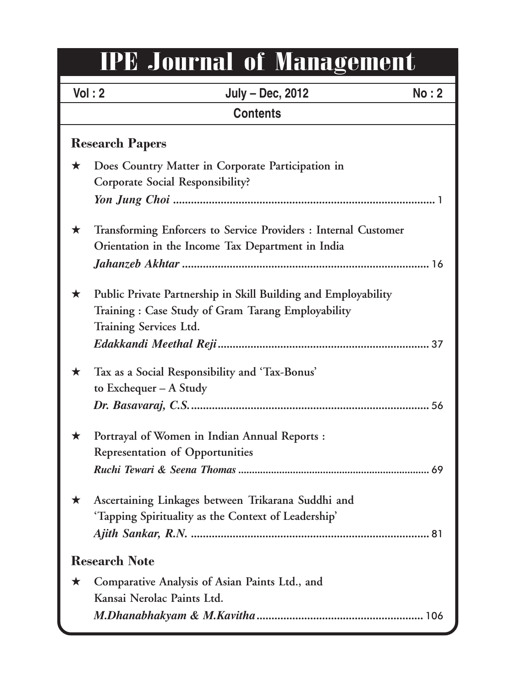# IPE Journal of Management

|                        | Vol: 2<br>July - Dec, 2012<br>No: 2                                                                                                           |  |  |
|------------------------|-----------------------------------------------------------------------------------------------------------------------------------------------|--|--|
| <b>Contents</b>        |                                                                                                                                               |  |  |
| <b>Research Papers</b> |                                                                                                                                               |  |  |
| $\star$                | Does Country Matter in Corporate Participation in<br>Corporate Social Responsibility?                                                         |  |  |
| ★                      | Transforming Enforcers to Service Providers : Internal Customer<br>Orientation in the Income Tax Department in India                          |  |  |
| $\star$                | Public Private Partnership in Skill Building and Employability<br>Training: Case Study of Gram Tarang Employability<br>Training Services Ltd. |  |  |
| ★                      | Tax as a Social Responsibility and 'Tax-Bonus'<br>to Exchequer $- A$ Study                                                                    |  |  |
| ★                      | Portrayal of Women in Indian Annual Reports :<br><b>Representation of Opportunities</b>                                                       |  |  |
| ★                      | Ascertaining Linkages between Trikarana Suddhi and<br>'Tapping Spirituality as the Context of Leadership'                                     |  |  |
| <b>Research Note</b>   |                                                                                                                                               |  |  |
| $\bigstar$             | Comparative Analysis of Asian Paints Ltd., and<br>Kansai Nerolac Paints Ltd.                                                                  |  |  |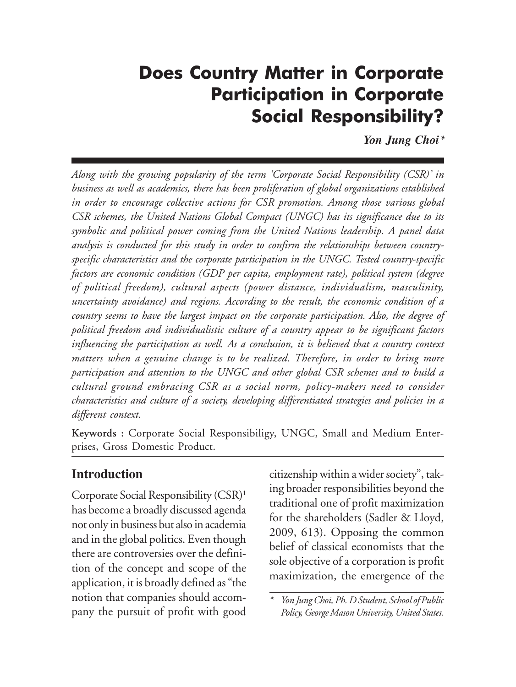## **Does Country Matter in Corporate** Participation in Corporate Social Responsibility?

*Yon Jung Choi\**

*Along with the growing popularity of the term 'Corporate Social Responsibility (CSR)' in business as well as academics, there has been proliferation of global organizations established in order to encourage collective actions for CSR promotion. Among those various global CSR schemes, the United Nations Global Compact (UNGC) has its significance due to its symbolic and political power coming from the United Nations leadership. A panel data analysis is conducted for this study in order to confirm the relationships between countryspecific characteristics and the corporate participation in the UNGC. Tested country-specific factors are economic condition (GDP per capita, employment rate), political system (degree of political freedom), cultural aspects (power distance, individualism, masculinity, uncertainty avoidance) and regions. According to the result, the economic condition of a country seems to have the largest impact on the corporate participation. Also, the degree of political freedom and individualistic culture of a country appear to be significant factors influencing the participation as well. As a conclusion, it is believed that a country context matters when a genuine change is to be realized. Therefore, in order to bring more participation and attention to the UNGC and other global CSR schemes and to build a cultural ground embracing CSR as a social norm, policy-makers need to consider characteristics and culture of a society, developing differentiated strategies and policies in a different context.*

**Keywords :** Corporate Social Responsibiligy, UNGC, Small and Medium Enterprises, Gross Domestic Product.

#### **Introduction**

Corporate Social Responsibility (CSR)**<sup>1</sup>** has become a broadly discussed agenda not only in business but also in academia and in the global politics. Even though there are controversies over the definition of the concept and scope of the application, it is broadly defined as "the notion that companies should accompany the pursuit of profit with good

citizenship within a wider society", taking broader responsibilities beyond the traditional one of profit maximization for the shareholders (Sadler & Lloyd, 2009, 613). Opposing the common belief of classical economists that the sole objective of a corporation is profit maximization, the emergence of the

*<sup>\*</sup> Yon Jung Choi, Ph. D Student, School of Public Policy, George Mason University, United States.*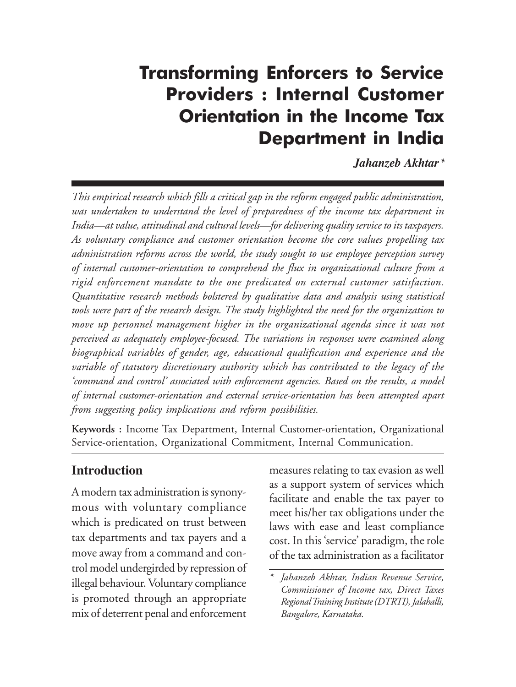## *IPE Journal of Management, Vol. 2, No. 2 © 2012, Institute of Public Enterprise* Transforming Enforcers to Service Providers : Internal Customer Orientation in the Income Tax Department in India

*Jahanzeb Akhtar\**

*This empirical research which fills a critical gap in the reform engaged public administration, was undertaken to understand the level of preparedness of the income tax department in India—at value, attitudinal and cultural levels—for delivering quality service to its taxpayers. As voluntary compliance and customer orientation become the core values propelling tax administration reforms across the world, the study sought to use employee perception survey of internal customer-orientation to comprehend the flux in organizational culture from a rigid enforcement mandate to the one predicated on external customer satisfaction. Quantitative research methods bolstered by qualitative data and analysis using statistical tools were part of the research design. The study highlighted the need for the organization to move up personnel management higher in the organizational agenda since it was not perceived as adequately employee-focused. The variations in responses were examined along biographical variables of gender, age, educational qualification and experience and the variable of statutory discretionary authority which has contributed to the legacy of the 'command and control' associated with enforcement agencies. Based on the results, a model of internal customer-orientation and external service-orientation has been attempted apart from suggesting policy implications and reform possibilities.*

**Keywords :** Income Tax Department, Internal Customer-orientation, Organizational Service-orientation, Organizational Commitment, Internal Communication.

#### **Introduction**

A modern tax administration is synonymous with voluntary compliance which is predicated on trust between tax departments and tax payers and a move away from a command and control model undergirded by repression of illegal behaviour. Voluntary compliance is promoted through an appropriate mix of deterrent penal and enforcement

measures relating to tax evasion as well as a support system of services which facilitate and enable the tax payer to meet his/her tax obligations under the laws with ease and least compliance cost. In this 'service' paradigm, the role of the tax administration as a facilitator

*<sup>\*</sup> Jahanzeb Akhtar, Indian Revenue Service, Commissioner of Income tax, Direct Taxes Regional Training Institute (DTRTI), Jalahalli, Bangalore, Karnataka.*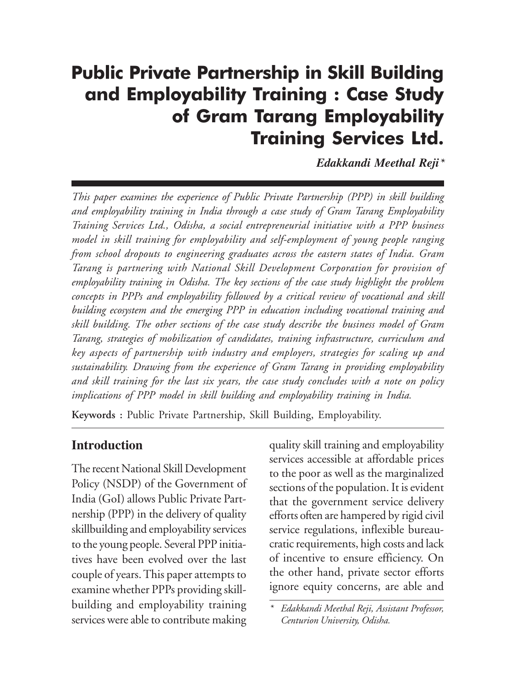## *Public Private Partnership in Skill Building and Employability Training : Case Study* Public Private Partnership in Skill Building and Employability Training : Case Study of Gram Tarang Employability Training Services Ltd.

*Edakkandi Meethal Reji\**

*This paper examines the experience of Public Private Partnership (PPP) in skill building and employability training in India through a case study of Gram Tarang Employability Training Services Ltd., Odisha, a social entrepreneurial initiative with a PPP business model in skill training for employability and self-employment of young people ranging from school dropouts to engineering graduates across the eastern states of India. Gram Tarang is partnering with National Skill Development Corporation for provision of employability training in Odisha. The key sections of the case study highlight the problem concepts in PPPs and employability followed by a critical review of vocational and skill building ecosystem and the emerging PPP in education including vocational training and skill building. The other sections of the case study describe the business model of Gram Tarang, strategies of mobilization of candidates, training infrastructure, curriculum and key aspects of partnership with industry and employers, strategies for scaling up and sustainability. Drawing from the experience of Gram Tarang in providing employability and skill training for the last six years, the case study concludes with a note on policy implications of PPP model in skill building and employability training in India.*

**Keywords :** Public Private Partnership, Skill Building, Employability.

#### **Introduction**

The recent National Skill Development Policy (NSDP) of the Government of India (GoI) allows Public Private Partnership (PPP) in the delivery of quality skillbuilding and employability services to the young people. Several PPP initiatives have been evolved over the last couple of years. This paper attempts to examine whether PPPs providing skillbuilding and employability training services were able to contribute making

quality skill training and employability services accessible at affordable prices to the poor as well as the marginalized sections of the population. It is evident that the government service delivery efforts often are hampered by rigid civil service regulations, inflexible bureaucratic requirements, high costs and lack of incentive to ensure efficiency. On the other hand, private sector efforts ignore equity concerns, are able and

*<sup>\*</sup> Edakkandi Meethal Reji, Assistant Professor, Centurion University, Odisha.*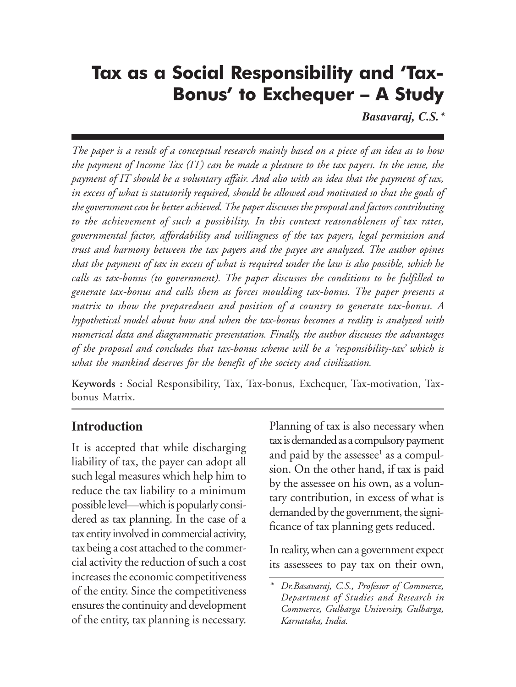#### *IPE Journal of Management, Vol. 2, No. 2 © 2012, Institute of Public Enterprise* Tax as a Social Responsibility and 'Tax-Bonus' to Exchequer – A Study

*Basavaraj, C.S.\**

*The paper is a result of a conceptual research mainly based on a piece of an idea as to how the payment of Income Tax (IT) can be made a pleasure to the tax payers. In the sense, the payment of IT should be a voluntary affair. And also with an idea that the payment of tax, in excess of what is statutorily required, should be allowed and motivated so that the goals of the government can be better achieved. The paper discusses the proposal and factors contributing to the achievement of such a possibility. In this context reasonableness of tax rates, governmental factor, affordability and willingness of the tax payers, legal permission and trust and harmony between the tax payers and the payee are analyzed. The author opines that the payment of tax in excess of what is required under the law is also possible, which he calls as tax-bonus (to government). The paper discusses the conditions to be fulfilled to generate tax-bonus and calls them as forces moulding tax-bonus. The paper presents a matrix to show the preparedness and position of a country to generate tax-bonus. A hypothetical model about how and when the tax-bonus becomes a reality is analyzed with numerical data and diagrammatic presentation. Finally, the author discusses the advantages of the proposal and concludes that tax-bonus scheme will be a 'responsibility-tax' which is what the mankind deserves for the benefit of the society and civilization.*

**Keywords :** Social Responsibility, Tax, Tax-bonus, Exchequer, Tax-motivation, Taxbonus Matrix.

#### **Introduction**

It is accepted that while discharging liability of tax, the payer can adopt all such legal measures which help him to reduce the tax liability to a minimum possible level—which is popularly considered as tax planning. In the case of a tax entity involved in commercial activity, tax being a cost attached to the commercial activity the reduction of such a cost increases the economic competitiveness of the entity. Since the competitiveness ensures the continuity and development of the entity, tax planning is necessary.

Planning of tax is also necessary when tax is demanded as a compulsory payment and paid by the assessee<sup>1</sup> as a compulsion. On the other hand, if tax is paid by the assessee on his own, as a voluntary contribution, in excess of what is demanded by the government, the significance of tax planning gets reduced.

In reality, when can a government expect its assessees to pay tax on their own,

*<sup>\*</sup> Dr.Basavaraj, C.S., Professor of Commerce, Department of Studies and Research in Commerce, Gulbarga University, Gulbarga, Karnataka, India.*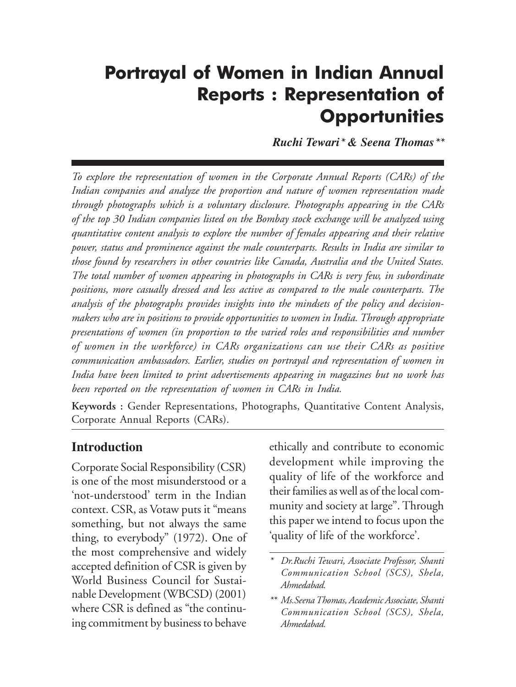### *Portrayal of Women in Indian Annual Reports : Representation of Opportunities* Portrayal of Women in Indian Annual Reports : Representation of **Opportunities**

*Ruchi Tewari\* & Seena Thomas\*\**

*To explore the representation of women in the Corporate Annual Reports (CARs) of the Indian companies and analyze the proportion and nature of women representation made through photographs which is a voluntary disclosure. Photographs appearing in the CARs of the top 30 Indian companies listed on the Bombay stock exchange will be analyzed using quantitative content analysis to explore the number of females appearing and their relative power, status and prominence against the male counterparts. Results in India are similar to those found by researchers in other countries like Canada, Australia and the United States. The total number of women appearing in photographs in CARs is very few, in subordinate positions, more casually dressed and less active as compared to the male counterparts. The analysis of the photographs provides insights into the mindsets of the policy and decisionmakers who are in positions to provide opportunities to women in India. Through appropriate presentations of women (in proportion to the varied roles and responsibilities and number of women in the workforce) in CARs organizations can use their CARs as positive communication ambassadors. Earlier, studies on portrayal and representation of women in India have been limited to print advertisements appearing in magazines but no work has been reported on the representation of women in CARs in India.*

**Keywords :** Gender Representations, Photographs, Quantitative Content Analysis, Corporate Annual Reports (CARs).

#### **Introduction**

Corporate Social Responsibility (CSR) is one of the most misunderstood or a 'not-understood' term in the Indian context. CSR, as Votaw puts it "means something, but not always the same thing, to everybody" (1972). One of the most comprehensive and widely accepted definition of CSR is given by World Business Council for Sustainable Development (WBCSD) (2001) where CSR is defined as "the continuing commitment by business to behave

ethically and contribute to economic development while improving the quality of life of the workforce and their families as well as of the local community and society at large". Through this paper we intend to focus upon the 'quality of life of the workforce'.

*<sup>\*</sup> Dr.Ruchi Tewari, Associate Professor, Shanti Communication School (SCS), Shela, Ahmedabad.*

*<sup>\*\*</sup> Ms.Seena Thomas, Academic Associate, Shanti Communication School (SCS), Shela, Ahmedabad.*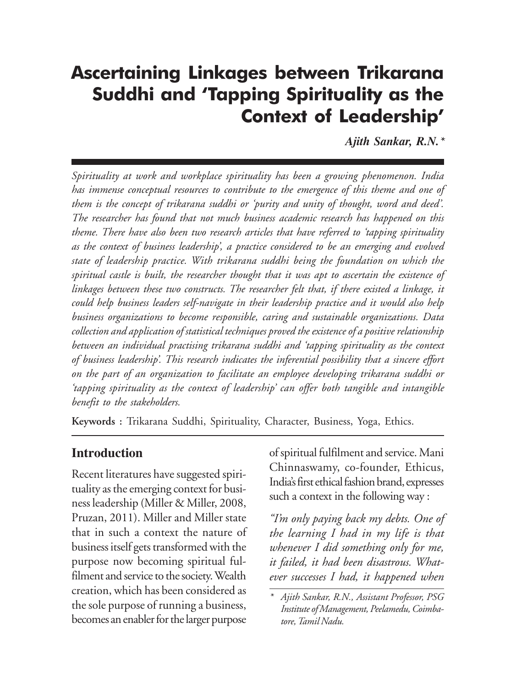### *Ascertaining Linkages between Trikarana Suddhi and 'Tapping Spirituality* Ascertaining Linkages between Trikarana Suddhi and 'Tapping Spirituality as the Context of Leadership'

*Ajith Sankar, R.N.\**

*Spirituality at work and workplace spirituality has been a growing phenomenon. India has immense conceptual resources to contribute to the emergence of this theme and one of them is the concept of trikarana suddhi or 'purity and unity of thought, word and deed'. The researcher has found that not much business academic research has happened on this theme. There have also been two research articles that have referred to 'tapping spirituality as the context of business leadership', a practice considered to be an emerging and evolved state of leadership practice. With trikarana suddhi being the foundation on which the spiritual castle is built, the researcher thought that it was apt to ascertain the existence of linkages between these two constructs. The researcher felt that, if there existed a linkage, it could help business leaders self-navigate in their leadership practice and it would also help business organizations to become responsible, caring and sustainable organizations. Data collection and application of statistical techniques proved the existence of a positive relationship between an individual practising trikarana suddhi and 'tapping spirituality as the context of business leadership'. This research indicates the inferential possibility that a sincere effort on the part of an organization to facilitate an employee developing trikarana suddhi or 'tapping spirituality as the context of leadership' can offer both tangible and intangible benefit to the stakeholders.*

**Keywords :** Trikarana Suddhi, Spirituality, Character, Business, Yoga, Ethics.

#### **Introduction**

Recent literatures have suggested spirituality as the emerging context for business leadership (Miller & Miller, 2008, Pruzan, 2011). Miller and Miller state that in such a context the nature of business itself gets transformed with the purpose now becoming spiritual fulfilment and service to the society. Wealth creation, which has been considered as the sole purpose of running a business, becomes an enabler for the larger purpose

of spiritual fulfilment and service. Mani Chinnaswamy, co-founder, Ethicus, India's first ethical fashion brand, expresses such a context in the following way :

*"I'm only paying back my debts. One of the learning I had in my life is that whenever I did something only for me, it failed, it had been disastrous. Whatever successes I had, it happened when*

*<sup>\*</sup> Ajith Sankar, R.N., Assistant Professor, PSG Institute of Management, Peelamedu, Coimbatore, Tamil Nadu.*